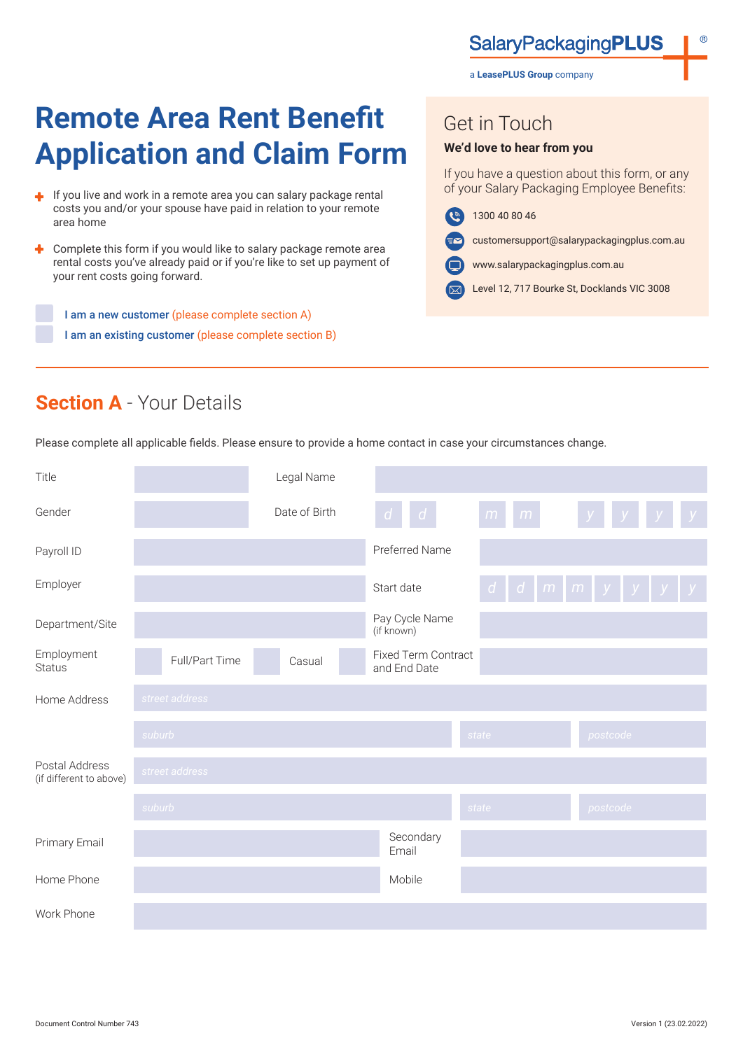**SalaryPackagingPLUS** 

a **LeasePLUS Group** company

# **Remote Area Rent Benefit Application and Claim Form**

- If you live and work in a remote area you can salary package rental costs you and/or your spouse have paid in relation to your remote area home
- Complete this form if you would like to salary package remote area ٠ rental costs you've already paid or if you're like to set up payment of your rent costs going forward.

I am a new customer (please complete section A) I am an existing customer (please complete section B)

# Get in Touch

#### **We'd love to hear from you**

If you have a question about this form, or any of your Salary Packaging Employee Benefits:

- $\left( \mathbf{e} \right)$ 1300 40 80 46
	- customersupport@salarypackagingplus.com.au
- Œ www.salarypackagingplus.com.au
- Level 12, 717 Bourke St, Docklands VIC 3008

# **Section A** - Your Details

Please complete all applicable fields. Please ensure to provide a home contact in case your circumstances change.

| Title                                     |                | Legal Name    |                                            |        |                           |
|-------------------------------------------|----------------|---------------|--------------------------------------------|--------|---------------------------|
| Gender                                    |                | Date of Birth | $\vert d \vert$<br>$d -$                   | m<br>m | $\mathcal{Y}$             |
| Payroll ID                                |                |               | Preferred Name                             |        |                           |
| Employer                                  |                |               | Start date                                 |        | $d$ d $m$ $m$ $y$ $y$ $y$ |
| Department/Site                           |                |               | Pay Cycle Name<br>(if known)               |        |                           |
| Employment<br><b>Status</b>               | Full/Part Time | Casual        | <b>Fixed Term Contract</b><br>and End Date |        |                           |
| Home Address                              | street address |               |                                            |        |                           |
|                                           | suburb         |               |                                            | state  | postcode                  |
| Postal Address<br>(if different to above) | street address |               |                                            |        |                           |
|                                           | suburb         |               |                                            | state  | postcode                  |
| Primary Email                             |                |               | Secondary<br>Email                         |        |                           |
| Home Phone                                |                |               | Mobile                                     |        |                           |
| Work Phone                                |                |               |                                            |        |                           |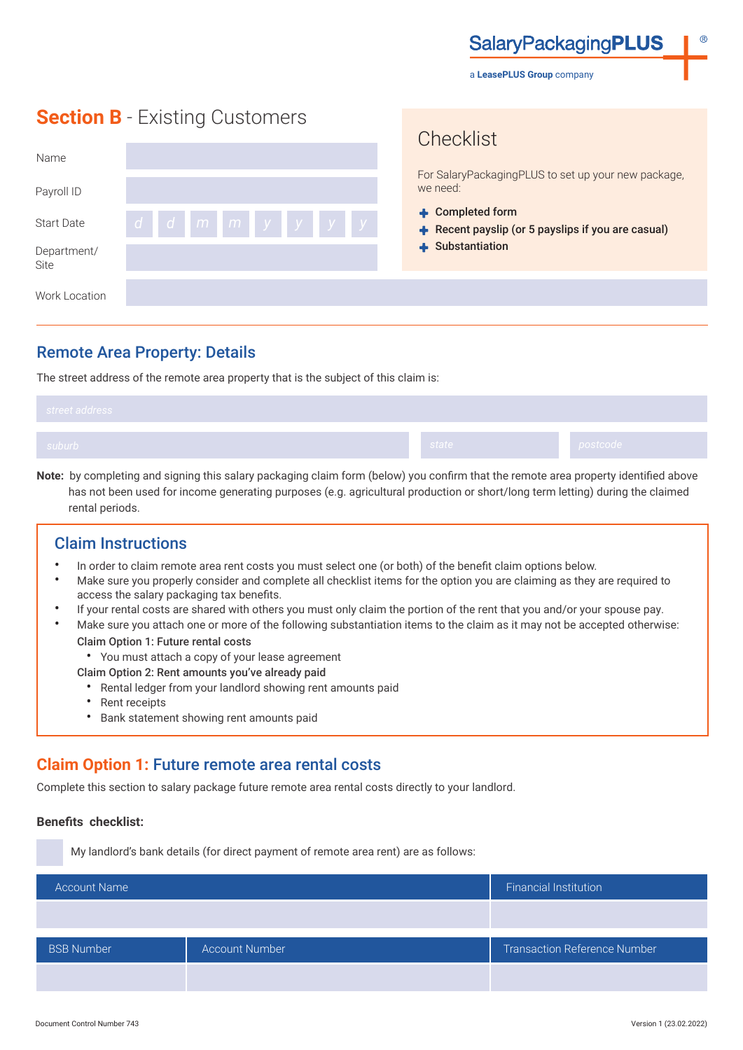**SalaryPackagingPLUS** 

a **LeasePLUS Group** company

Chooklict

# **Section B** - Existing Customers

| Name                |           | ULICUMIOL<br>For SalaryPackagingPLUS to set up your new package,               |
|---------------------|-----------|--------------------------------------------------------------------------------|
| Payroll ID          |           | we need:                                                                       |
| <b>Start Date</b>   | dd mmyyyy | $\triangle$ Completed form<br>Recent payslip (or 5 payslips if you are casual) |
| Department/<br>Site |           | + Substantiation                                                               |
| Work Location       |           |                                                                                |

### Remote Area Property: Details

The street address of the remote area property that is the subject of this claim is:

| suburb /<br>state | postcode |
|-------------------|----------|

**Note:** by completing and signing this salary packaging claim form (below) you confirm that the remote area property identified above has not been used for income generating purposes (e.g. agricultural production or short/long term letting) during the claimed rental periods.

#### Claim Instructions

- In order to claim remote area rent costs you must select one (or both) of the benefit claim options below.
- Make sure you properly consider and complete all checklist items for the option you are claiming as they are required to access the salary packaging tax benefits.
- If your rental costs are shared with others you must only claim the portion of the rent that you and/or your spouse pay.
- Make sure you attach one or more of the following substantiation items to the claim as it may not be accepted otherwise:
	- Claim Option 1: Future rental costs
	- You must attach a copy of your lease agreement
	- Claim Option 2: Rent amounts you've already paid
		- Rental ledger from your landlord showing rent amounts paid
		- Rent receipts
		- Bank statement showing rent amounts paid

## **Claim Option 1:** Future remote area rental costs

Complete this section to salary package future remote area rental costs directly to your landlord.

#### **Benefits checklist:**

My landlord's bank details (for direct payment of remote area rent) are as follows:

| <b>Account Name</b> |                       | <b>Financial Institution</b>        |
|---------------------|-----------------------|-------------------------------------|
|                     |                       |                                     |
| <b>BSB Number</b>   | <b>Account Number</b> | <b>Transaction Reference Number</b> |
|                     |                       |                                     |